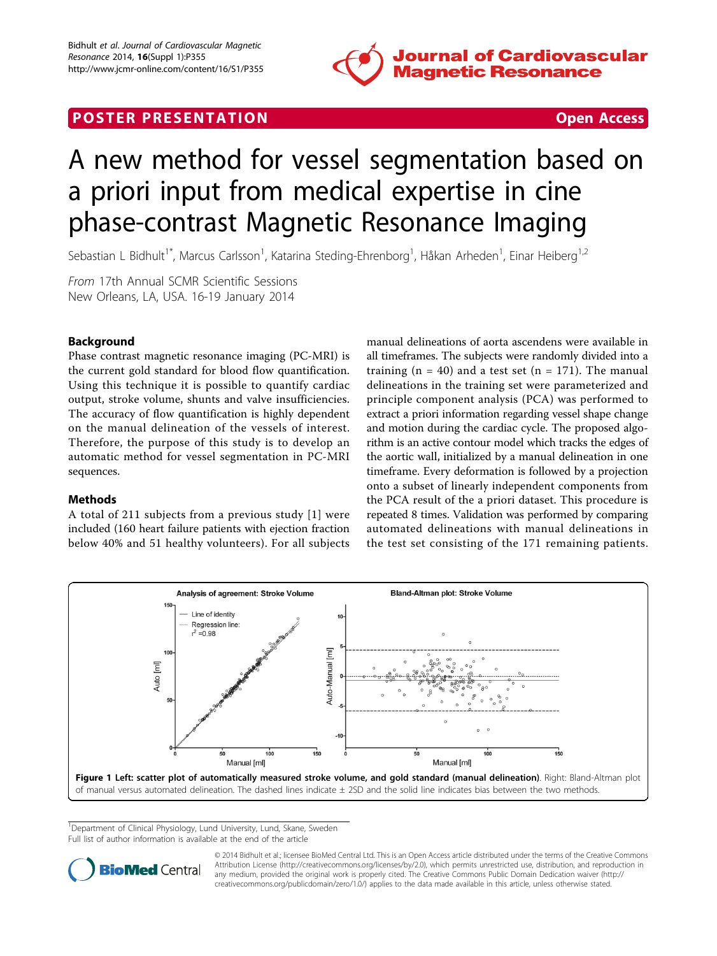

## <span id="page-0-0"></span>**POSTER PRESENTATION CONSUMING ACCESS**



# A new method for vessel segmentation based on a priori input from medical expertise in cine phase-contrast Magnetic Resonance Imaging

Sebastian L Bidhult<sup>1\*</sup>, Marcus Carlsson<sup>1</sup>, Katarina Steding-Ehrenborg<sup>1</sup>, Håkan Arheden<sup>1</sup>, Einar Heiberg<sup>1,2</sup>

From 17th Annual SCMR Scientific Sessions New Orleans, LA, USA. 16-19 January 2014

## Background

Phase contrast magnetic resonance imaging (PC-MRI) is the current gold standard for blood flow quantification. Using this technique it is possible to quantify cardiac output, stroke volume, shunts and valve insufficiencies. The accuracy of flow quantification is highly dependent on the manual delineation of the vessels of interest. Therefore, the purpose of this study is to develop an automatic method for vessel segmentation in PC-MRI sequences.

### Methods

A total of 211 subjects from a previous study [[1\]](#page-1-0) were included (160 heart failure patients with ejection fraction below 40% and 51 healthy volunteers). For all subjects manual delineations of aorta ascendens were available in all timeframes. The subjects were randomly divided into a training ( $n = 40$ ) and a test set ( $n = 171$ ). The manual delineations in the training set were parameterized and principle component analysis (PCA) was performed to extract a priori information regarding vessel shape change and motion during the cardiac cycle. The proposed algorithm is an active contour model which tracks the edges of the aortic wall, initialized by a manual delineation in one timeframe. Every deformation is followed by a projection onto a subset of linearly independent components from the PCA result of the a priori dataset. This procedure is repeated 8 times. Validation was performed by comparing automated delineations with manual delineations in the test set consisting of the 171 remaining patients.



<sup>1</sup>Department of Clinical Physiology, Lund University, Lund, Skane, Sweden Full list of author information is available at the end of the article



© 2014 Bidhult et al.; licensee BioMed Central Ltd. This is an Open Access article distributed under the terms of the Creative Commons Attribution License [\(http://creativecommons.org/licenses/by/2.0](http://creativecommons.org/licenses/by/2.0)), which permits unrestricted use, distribution, and reproduction in any medium, provided the original work is properly cited. The Creative Commons Public Domain Dedication waiver [\(http://](http://creativecommons.org/publicdomain/zero/1.0/) [creativecommons.org/publicdomain/zero/1.0/](http://creativecommons.org/publicdomain/zero/1.0/)) applies to the data made available in this article, unless otherwise stated.